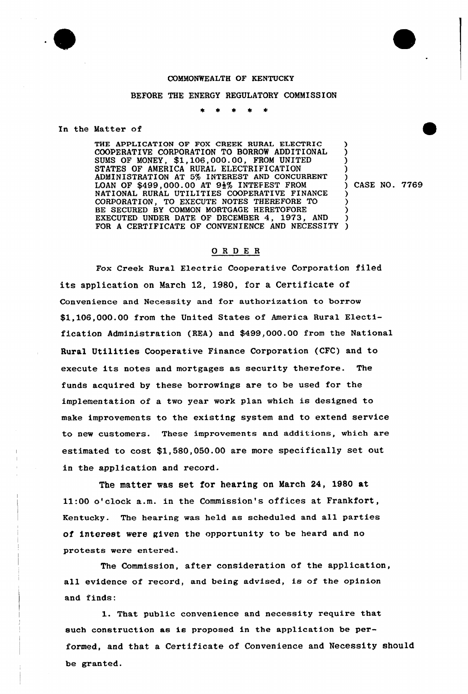

## COMMONWEALTH OF KENTUCKY

## BEFORE THE ENERGY REGULATORY COMMISSION

## In the Matter of

THE APPLICATION OF FOX CREEK RURAL ELECTRIC COOPERATIVE CORPORATION TO BORROW ADDITIONAL SUMS OF MONEY, \$1,106,000.00, FROM UNITED STATES OF AMERICA RURAL ELECTRIFICATION ADMINISTRATION AT 5% INTEREST AND CONCURRENT LOAN OF \$499,000.00 AT  $9\frac{1}{2}\%$  INTEFEST FROM NATIONAL RURAL UTILITIES COOPERATIVE FINANCE CORPORATION, TO EXECUTE NOTES THEREFORE TO BE SECURED BY COMMON MORTGAGE HERETOFORE EXECUTED UNDER DATE OF DECEMBER 4, 1973, AND FOR A CERTIFICATE OF CONVENIENCE AND NECESSITY ) ) ) ) ) ) ) ) ) )

) CASE NO. 7769

## ORDE <sup>R</sup>

Fox Creek Rural Electric Cooperative Corporation filed its application on March 12, 1980, for a Certificate of Convenience and Necessity and for authorization to borrow \$1,106,000.00 from the United States of America Rural Electification Administration (REA) and \$499,000.00 from the National Rural Utilities Cooperative Finance Corporation (CFC) and to execute its notes and mortgages as security therefore. The funds acquired by these borrowings are to be used for the implementation of a two year work plan which is designed to make improvements to the existing system and to extend service to new customers. These improvements and additions, which are estimated to cost \$1,580,050.00 are more specifically set out in the application and record.

The matter was set for hearing on March 24, 1980 at 11:00 o'lock a.m. in the Commission's offices at Frankfort, Kentucky. The hearing was held as scheduled and all parties of interest were given the opportunity to be heard and no protests were entered.

The Commission, after consideration of the application, all evidence of record, and being advised, is of the opinion and finds:

1. That public convenience and necessity require that such construction as is proposed in the application be performed, and that a Certificate of Convenience and Necessity should be granted.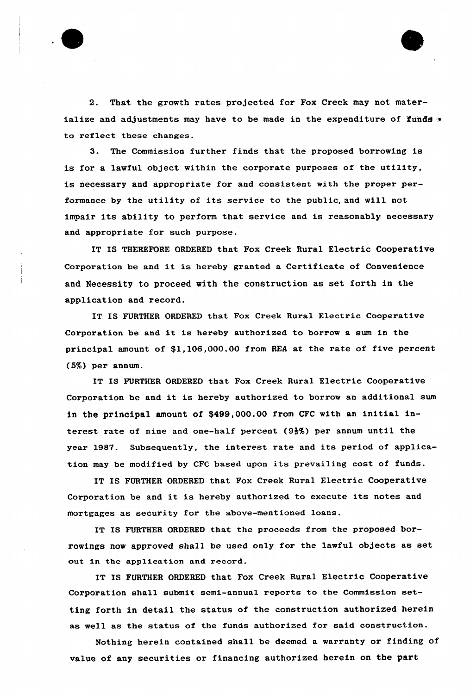

2. That the growth rates projected for Fox Creek may not materialize and adjustments may have to be made in the expenditure of funds  $\sim$ to reflect these changes.

3. The Commission further finds that the proposed borrowing is is for a lawful object within the corporate purposes of the utility, is necessary and appropriate for and consistent with the proper performance by the utility of its service to the public, and will not impair its ability to perform that service and is reasonably: necessary and appropriate for such purpose.

IT IS THEREFORE ORDERED that Fox Creek Rural Electric Cooperative Corporation be and it is hereby granted <sup>a</sup> Certificate of Convenience and Necessity to proceed with the construction as set forth in the application and record.

IT IS FURTHER ORDERED that Fox Creek Rural Electric Cooperative Corporation be and it is hereby authorized to borrow <sup>a</sup> sum in the principal amount of \$1,106,000.00 from REA at the rate of five percent (5%) per annum.

IT IS FURTHER ORDERED that Fox Creek Rural Electric Cooperative Corporation be and it is hereby authorized to borrow an additional sum in the principal amount of \$499,000.00 from CFC with an initial interest rate of nine and one-half percent (9\$%) per annum until the year 1987. Subsequently, the interest rate and its period of application may be modified by CFC based upon its prevailing cost of funds.

IT IS FURTHER ORDERED that Fox Creek Rural Electric Cooperative Corporation be and it is hereby authorized to execute its notes and mortgages as security for the above-mentioned loans.

IT IS FURTHER ORDERED that the proceeds from the proposed borrowings now approved shall be used only for the lawful objects as set out in the application and record.

IT IS FURTHER ORDERED that Fox Creek Rural Electric Cooperative Corporation shall submit semi-annual reports to the Commission setting forth in detail the status of the construction authorized herein as well as the status of the funds authorized for said construction.

Nothing herein contained shall be deemed a warranty or finding of value of any securities or financing authorized herein on the part